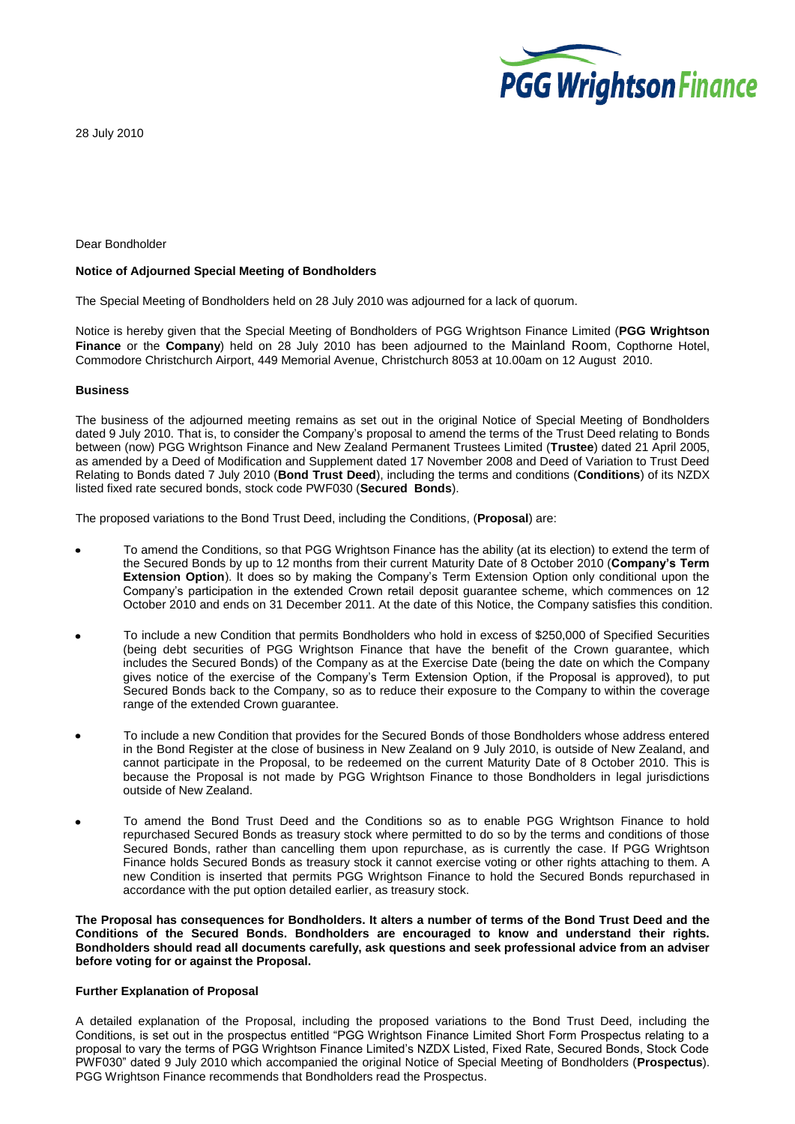

28 July 2010

### Dear Bondholder

### **Notice of Adjourned Special Meeting of Bondholders**

The Special Meeting of Bondholders held on 28 July 2010 was adjourned for a lack of quorum.

Notice is hereby given that the Special Meeting of Bondholders of PGG Wrightson Finance Limited (**PGG Wrightson Finance** or the **Company**) held on 28 July 2010 has been adjourned to the Mainland Room, Copthorne Hotel, Commodore Christchurch Airport, 449 Memorial Avenue, Christchurch 8053 at 10.00am on 12 August 2010.

### **Business**

The business of the adjourned meeting remains as set out in the original Notice of Special Meeting of Bondholders dated 9 July 2010. That is, to consider the Company's proposal to amend the terms of the Trust Deed relating to Bonds between (now) PGG Wrightson Finance and New Zealand Permanent Trustees Limited (**Trustee**) dated 21 April 2005, as amended by a Deed of Modification and Supplement dated 17 November 2008 and Deed of Variation to Trust Deed Relating to Bonds dated 7 July 2010 (**Bond Trust Deed**), including the terms and conditions (**Conditions**) of its NZDX listed fixed rate secured bonds, stock code PWF030 (**Secured Bonds**).

The proposed variations to the Bond Trust Deed, including the Conditions, (**Proposal**) are:

- To amend the Conditions, so that PGG Wrightson Finance has the ability (at its election) to extend the term of the Secured Bonds by up to 12 months from their current Maturity Date of 8 October 2010 (**Company's Term Extension Option**). It does so by making the Company's Term Extension Option only conditional upon the Company's participation in the extended Crown retail deposit guarantee scheme, which commences on 12 October 2010 and ends on 31 December 2011. At the date of this Notice, the Company satisfies this condition.
- To include a new Condition that permits Bondholders who hold in excess of \$250,000 of Specified Securities (being debt securities of PGG Wrightson Finance that have the benefit of the Crown guarantee, which includes the Secured Bonds) of the Company as at the Exercise Date (being the date on which the Company gives notice of the exercise of the Company's Term Extension Option, if the Proposal is approved), to put Secured Bonds back to the Company, so as to reduce their exposure to the Company to within the coverage range of the extended Crown guarantee.
- To include a new Condition that provides for the Secured Bonds of those Bondholders whose address entered in the Bond Register at the close of business in New Zealand on 9 July 2010, is outside of New Zealand, and cannot participate in the Proposal, to be redeemed on the current Maturity Date of 8 October 2010. This is because the Proposal is not made by PGG Wrightson Finance to those Bondholders in legal jurisdictions outside of New Zealand.
- To amend the Bond Trust Deed and the Conditions so as to enable PGG Wrightson Finance to hold repurchased Secured Bonds as treasury stock where permitted to do so by the terms and conditions of those Secured Bonds, rather than cancelling them upon repurchase, as is currently the case. If PGG Wrightson Finance holds Secured Bonds as treasury stock it cannot exercise voting or other rights attaching to them. A new Condition is inserted that permits PGG Wrightson Finance to hold the Secured Bonds repurchased in accordance with the put option detailed earlier, as treasury stock.

**The Proposal has consequences for Bondholders. It alters a number of terms of the Bond Trust Deed and the Conditions of the Secured Bonds. Bondholders are encouraged to know and understand their rights. Bondholders should read all documents carefully, ask questions and seek professional advice from an adviser before voting for or against the Proposal.**

# **Further Explanation of Proposal**

A detailed explanation of the Proposal, including the proposed variations to the Bond Trust Deed, including the Conditions, is set out in the prospectus entitled "PGG Wrightson Finance Limited Short Form Prospectus relating to a proposal to vary the terms of PGG Wrightson Finance Limited's NZDX Listed, Fixed Rate, Secured Bonds, Stock Code PWF030" dated 9 July 2010 which accompanied the original Notice of Special Meeting of Bondholders (**Prospectus**). PGG Wrightson Finance recommends that Bondholders read the Prospectus.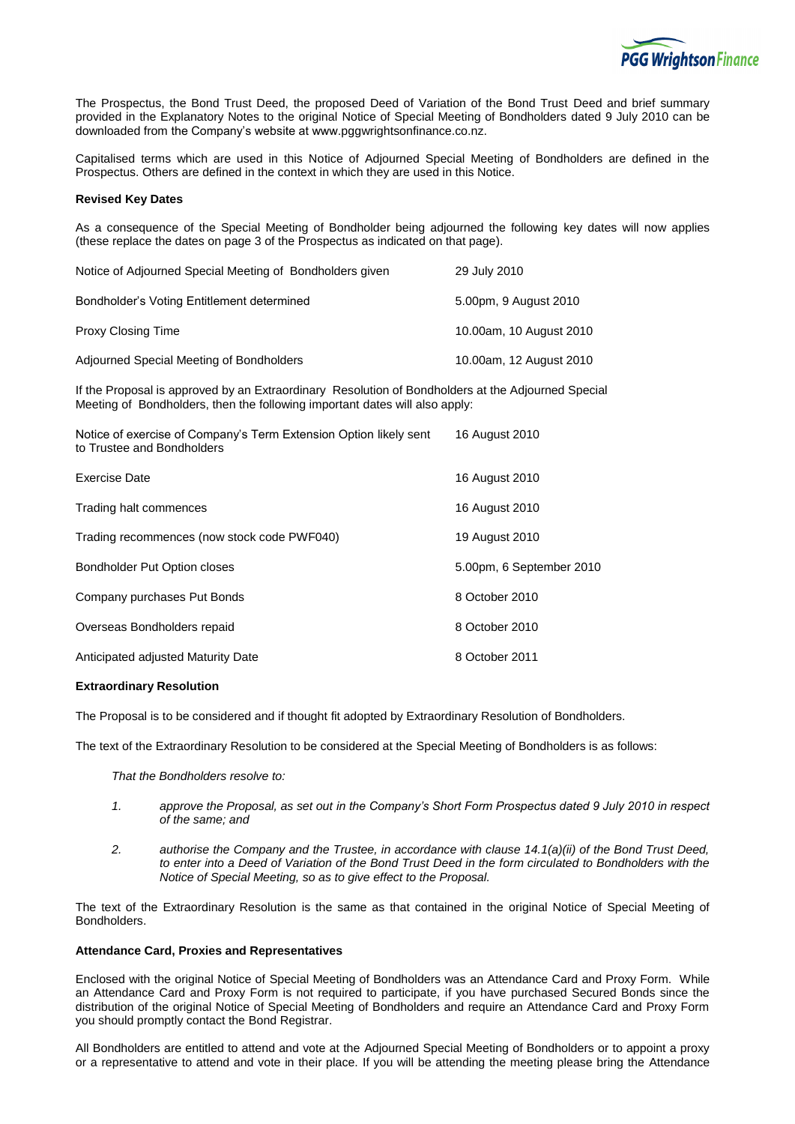

The Prospectus, the Bond Trust Deed, the proposed Deed of Variation of the Bond Trust Deed and brief summary provided in the Explanatory Notes to the original Notice of Special Meeting of Bondholders dated 9 July 2010 can be downloaded from the Company's website at www.pggwrightsonfinance.co.nz.

Capitalised terms which are used in this Notice of Adjourned Special Meeting of Bondholders are defined in the Prospectus. Others are defined in the context in which they are used in this Notice.

# **Revised Key Dates**

As a consequence of the Special Meeting of Bondholder being adjourned the following key dates will now applies (these replace the dates on page 3 of the Prospectus as indicated on that page).

| Notice of Adjourned Special Meeting of Bondholders given | 29 July 2010            |
|----------------------------------------------------------|-------------------------|
| Bondholder's Voting Entitlement determined               | 5.00pm, 9 August 2010   |
| Proxy Closing Time                                       | 10.00am, 10 August 2010 |
| Adjourned Special Meeting of Bondholders                 | 10.00am, 12 August 2010 |

If the Proposal is approved by an Extraordinary Resolution of Bondholders at the Adjourned Special Meeting of Bondholders, then the following important dates will also apply:

| Notice of exercise of Company's Term Extension Option likely sent<br>to Trustee and Bondholders | 16 August 2010           |
|-------------------------------------------------------------------------------------------------|--------------------------|
| Exercise Date                                                                                   | 16 August 2010           |
| Trading halt commences                                                                          | 16 August 2010           |
| Trading recommences (now stock code PWF040)                                                     | 19 August 2010           |
| <b>Bondholder Put Option closes</b>                                                             | 5.00pm, 6 September 2010 |
| Company purchases Put Bonds                                                                     | 8 October 2010           |
| Overseas Bondholders repaid                                                                     | 8 October 2010           |
| Anticipated adjusted Maturity Date                                                              | 8 October 2011           |
|                                                                                                 |                          |

## **Extraordinary Resolution**

The Proposal is to be considered and if thought fit adopted by Extraordinary Resolution of Bondholders.

The text of the Extraordinary Resolution to be considered at the Special Meeting of Bondholders is as follows:

*That the Bondholders resolve to:*

- *1. approve the Proposal, as set out in the Company's Short Form Prospectus dated 9 July 2010 in respect of the same; and*
- *2. authorise the Company and the Trustee, in accordance with clause 14.1(a)(ii) of the Bond Trust Deed, to enter into a Deed of Variation of the Bond Trust Deed in the form circulated to Bondholders with the Notice of Special Meeting, so as to give effect to the Proposal.*

The text of the Extraordinary Resolution is the same as that contained in the original Notice of Special Meeting of Bondholders.

#### **Attendance Card, Proxies and Representatives**

Enclosed with the original Notice of Special Meeting of Bondholders was an Attendance Card and Proxy Form. While an Attendance Card and Proxy Form is not required to participate, if you have purchased Secured Bonds since the distribution of the original Notice of Special Meeting of Bondholders and require an Attendance Card and Proxy Form you should promptly contact the Bond Registrar.

All Bondholders are entitled to attend and vote at the Adjourned Special Meeting of Bondholders or to appoint a proxy or a representative to attend and vote in their place. If you will be attending the meeting please bring the Attendance